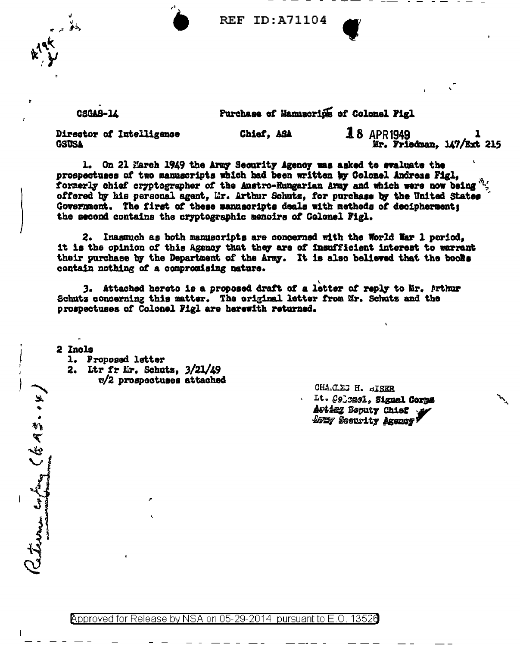**REF ID: A71104** 



**CSGAS-14** 

Purchase of Mamuscrips of Colonel Figl

 $18$  APR1949 Director of Intelligence Chief. ASA **GSUSA** Mr. Friedman, 147/Ext 215

On 21 March 1949 the Army Security Agency was asked to evaluate the  $\mathbf{1}_{\bullet}$ prospectuses of two manuscripts which had been written by Colonel Andreas Figl. formerly chief cryptographer of the Austro-Hungarian Army and which were now being offered by his personal agent. Mr. Arthur Schutz. for purchase by the United States Government. The first of these mannscripts deals with methods of decipherment; the second contains the cryptographic memoirs of Colonel Figl.

2. Inasmuch as both manuscripts are concerned with the World War 1 period. it is the opinion of this Agency that they are of insufficient interest to warrant their purchase by the Department of the Army. It is also believed that the books contain nothing of a compromising nature.

3. Attached hereto is a proposed draft of a letter of reply to Mr. Arthur Schutz concerning this matter. The original letter from Mr. Schutz and the prospectuses of Colonel Figl are herewith returned.

2 Incls

advance confine (EA3.0%

1. Proposed letter

- 2. Ltr fr Mr. Schutz,  $3/21/49$ 
	- **w/2** prospectuses attached

CHA.CLES H. GISER Lt. C913231. Signal Corps Acting Beputy Chief APEY Security Agency!

Approved for Release by NSA on 05-29-2014 pursuant to E.O. 13526